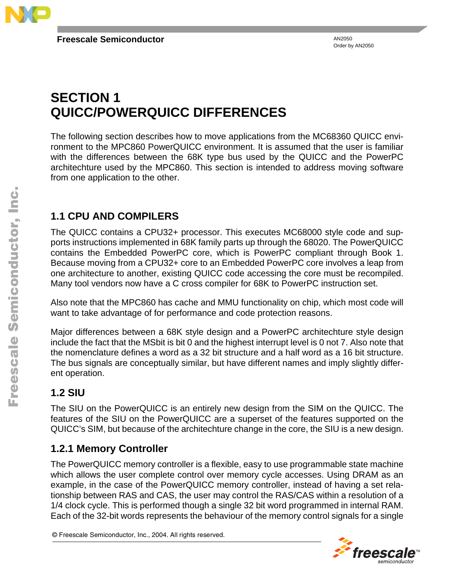

**Freescale Semiconductor**

# **SECTION 1 QUICC/POWERQUICC DIFFERENCES**

The following section describes how to move applications from the MC68360 QUICC environment to the MPC860 PowerQUICC environment. It is assumed that the user is familiar with the differences between the 68K type bus used by the QUICC and the PowerPC architechture used by the MPC860. This section is intended to address moving software from one application to the other.

## **1.1 CPU AND COMPILERS**

The QUICC contains a CPU32+ processor. This executes MC68000 style code and supports instructions implemented in 68K family parts up through the 68020. The PowerQUICC contains the Embedded PowerPC core, which is PowerPC compliant through Book 1. Because moving from a CPU32+ core to an Embedded PowerPC core involves a leap from one architecture to another, existing QUICC code accessing the core must be recompiled. Many tool vendors now have a C cross compiler for 68K to PowerPC instruction set.

Also note that the MPC860 has cache and MMU functionality on chip, which most code will want to take advantage of for performance and code protection reasons.

Major differences between a 68K style design and a PowerPC architechture style design include the fact that the MSbit is bit 0 and the highest interrupt level is 0 not 7. Also note that the nomenclature defines a word as a 32 bit structure and a half word as a 16 bit structure. The bus signals are conceptually similar, but have different names and imply slightly different operation.

## **1.2 SIU**

The SIU on the PowerQUICC is an entirely new design from the SIM on the QUICC. The features of the SIU on the PowerQUICC are a superset of the features supported on the QUICC's SIM, but because of the architechture change in the core, the SIU is a new design.

## **1.2.1 Memory Controller**

The PowerQUICC memory controller is a flexible, easy to use programmable state machine which allows the user complete control over memory cycle accesses. Using DRAM as an example, in the case of the PowerQUICC memory controller, instead of having a set relationship between RAS and CAS, the user may control the RAS/CAS within a resolution of a 1/4 clock cycle. This is performed though a single 32 bit word programmed in internal RAM. Each of the 32-bit words represents the behaviour of the memory control signals for a single

© Freescale Semiconductor, Inc., 2004. All rights reserved.

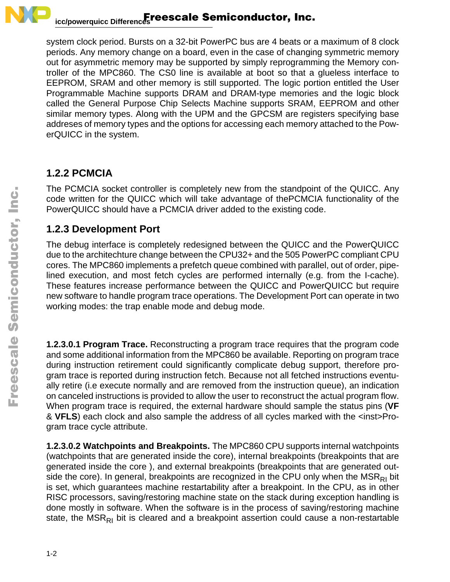

system clock period. Bursts on a 32-bit PowerPC bus are 4 beats or a maximum of 8 clock periods. Any memory change on a board, even in the case of changing symmetric memory out for asymmetric memory may be supported by simply reprogramming the Memory controller of the MPC860. The CS0 line is available at boot so that a glueless interface to EEPROM, SRAM and other memory is still supported. The logic portion entitled the User Programmable Machine supports DRAM and DRAM-type memories and the logic block called the General Purpose Chip Selects Machine supports SRAM, EEPROM and other similar memory types. Along with the UPM and the GPCSM are registers specifying base addreses of memory types and the options for accessing each memory attached to the PowerQUICC in the system.

### **1.2.2 PCMCIA**

The PCMCIA socket controller is completely new from the standpoint of the QUICC. Any code written for the QUICC which will take advantage of thePCMCIA functionality of the PowerQUICC should have a PCMCIA driver added to the existing code.

### **1.2.3 Development Port**

The debug interface is completely redesigned between the QUICC and the PowerQUICC due to the architechture change between the CPU32+ and the 505 PowerPC compliant CPU cores. The MPC860 implements a prefetch queue combined with parallel, out of order, pipelined execution, and most fetch cycles are performed internally (e.g. from the I-cache). These features increase performance between the QUICC and PowerQUICC but require new software to handle program trace operations. The Development Port can operate in two working modes: the trap enable mode and debug mode.

**1.2.3.0.1 Program Trace.** Reconstructing a program trace requires that the program code and some additional information from the MPC860 be available. Reporting on program trace during instruction retirement could significantly complicate debug support, therefore program trace is reported during instruction fetch. Because not all fetched instructions eventually retire (i.e execute normally and are removed from the instruction queue), an indication on canceled instructions is provided to allow the user to reconstruct the actual program flow. When program trace is required, the external hardware should sample the status pins (**VF** & **VFLS**) each clock and also sample the address of all cycles marked with the <inst>Program trace cycle attribute.

**1.2.3.0.2 Watchpoints and Breakpoints.** The MPC860 CPU supports internal watchpoints (watchpoints that are generated inside the core), internal breakpoints (breakpoints that are generated inside the core ), and external breakpoints (breakpoints that are generated outside the core). In general, breakpoints are recognized in the CPU only when the  $MSR_{R1}$  bit is set, which guarantees machine restartability after a breakpoint. In the CPU, as in other RISC processors, saving/restoring machine state on the stack during exception handling is done mostly in software. When the software is in the process of saving/restoring machine state, the  $MSR_{RI}$  bit is cleared and a breakpoint assertion could cause a non-restartable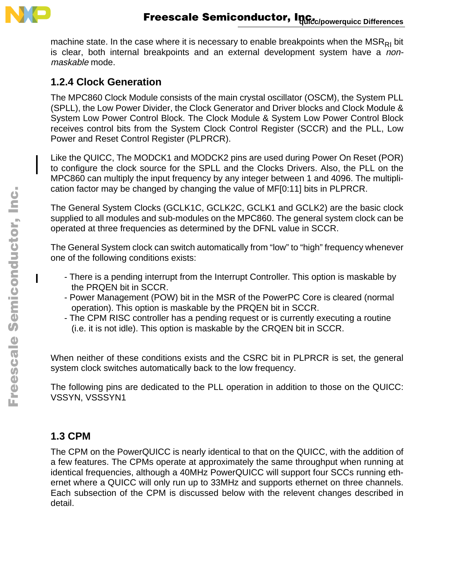

machine state. In the case where it is necessary to enable breakpoints when the  $MSR_{R1}$  bit is clear, both internal breakpoints and an external development system have a nonmaskable mode.

### **1.2.4 Clock Generation**

The MPC860 Clock Module consists of the main crystal oscillator (OSCM), the System PLL (SPLL), the Low Power Divider, the Clock Generator and Driver blocks and Clock Module & System Low Power Control Block. The Clock Module & System Low Power Control Block receives control bits from the System Clock Control Register (SCCR) and the PLL, Low Power and Reset Control Register (PLPRCR).

Like the QUICC, The MODCK1 and MODCK2 pins are used during Power On Reset (POR) to configure the clock source for the SPLL and the Clocks Drivers. Also, the PLL on the MPC860 can multiply the input frequency by any integer between 1 and 4096. The multiplication factor may be changed by changing the value of MF[0:11] bits in PLPRCR.

The General System Clocks (GCLK1C, GCLK2C, GCLK1 and GCLK2) are the basic clock supplied to all modules and sub-modules on the MPC860. The general system clock can be operated at three frequencies as determined by the DFNL value in SCCR.

The General System clock can switch automatically from "low" to "high" frequency whenever one of the following conditions exists:

- There is a pending interrupt from the Interrupt Controller. This option is maskable by the PRQEN bit in SCCR.
- Power Management (POW) bit in the MSR of the PowerPC Core is cleared (normal operation). This option is maskable by the PRQEN bit in SCCR.
- The CPM RISC controller has a pending request or is currently executing a routine (i.e. it is not idle). This option is maskable by the CRQEN bit in SCCR.

When neither of these conditions exists and the CSRC bit in PLPRCR is set, the general system clock switches automatically back to the low frequency.

The following pins are dedicated to the PLL operation in addition to those on the QUICC: VSSYN, VSSSYN1

### **1.3 CPM**

The CPM on the PowerQUICC is nearly identical to that on the QUICC, with the addition of a few features. The CPMs operate at approximately the same throughput when running at identical frequencies, although a 40MHz PowerQUICC will support four SCCs running ethernet where a QUICC will only run up to 33MHz and supports ethernet on three channels. Each subsection of the CPM is discussed below with the relevent changes described in detail.

 $\mathbf{I}$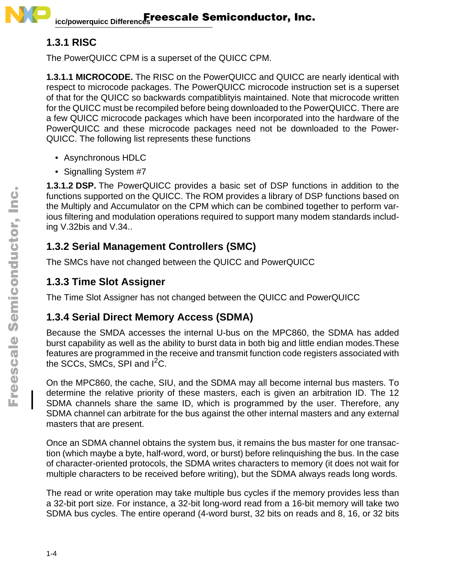## **1.3.1 RISC**

The PowerQUICC CPM is a superset of the QUICC CPM.

**1.3.1.1 MICROCODE.** The RISC on the PowerQUICC and QUICC are nearly identical with respect to microcode packages. The PowerQUICC microcode instruction set is a superset of that for the QUICC so backwards compatiblityis maintained. Note that microcode written for the QUICC must be recompiled before being downloaded to the PowerQUICC. There are a few QUICC microcode packages which have been incorporated into the hardware of the PowerQUICC and these microcode packages need not be downloaded to the Power-QUICC. The following list represents these functions

- Asynchronous HDLC
- Signalling System #7

**1.3.1.2 DSP.** The PowerQUICC provides a basic set of DSP functions in addition to the functions supported on the QUICC. The ROM provides a library of DSP functions based on the Multiply and Accumulator on the CPM which can be combined together to perform various filtering and modulation operations required to support many modem standards including V.32bis and V.34..

## **1.3.2 Serial Management Controllers (SMC)**

The SMCs have not changed between the QUICC and PowerQUICC

## **1.3.3 Time Slot Assigner**

The Time Slot Assigner has not changed between the QUICC and PowerQUICC

## **1.3.4 Serial Direct Memory Access (SDMA)**

Because the SMDA accesses the internal U-bus on the MPC860, the SDMA has added burst capability as well as the ability to burst data in both big and little endian modes.These features are programmed in the receive and transmit function code registers associated with the SCCs, SMCs, SPI and  $I<sup>2</sup>C$ .

On the MPC860, the cache, SIU, and the SDMA may all become internal bus masters. To determine the relative priority of these masters, each is given an arbitration ID. The 12 SDMA channels share the same ID, which is programmed by the user. Therefore, any SDMA channel can arbitrate for the bus against the other internal masters and any external masters that are present.

Once an SDMA channel obtains the system bus, it remains the bus master for one transaction (which maybe a byte, half-word, word, or burst) before relinquishing the bus. In the case of character-oriented protocols, the SDMA writes characters to memory (it does not wait for multiple characters to be received before writing), but the SDMA always reads long words.

The read or write operation may take multiple bus cycles if the memory provides less than a 32-bit port size. For instance, a 32-bit long-word read from a 16-bit memory will take two SDMA bus cycles. The entire operand (4-word burst, 32 bits on reads and 8, 16, or 32 bits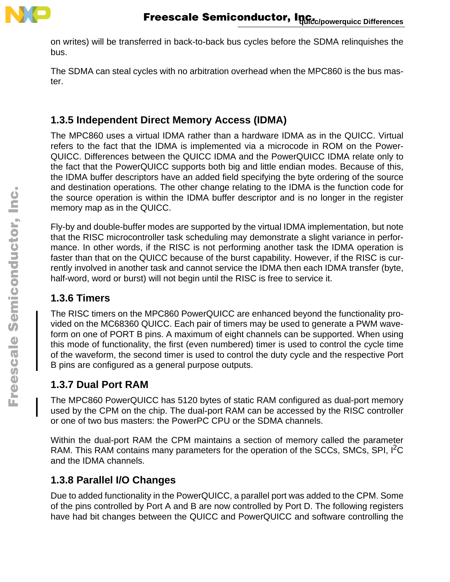

on writes) will be transferred in back-to-back bus cycles before the SDMA relinquishes the bus.

The SDMA can steal cycles with no arbitration overhead when the MPC860 is the bus master.

## **1.3.5 Independent Direct Memory Access (IDMA)**

The MPC860 uses a virtual IDMA rather than a hardware IDMA as in the QUICC. Virtual refers to the fact that the IDMA is implemented via a microcode in ROM on the Power-QUICC. Differences between the QUICC IDMA and the PowerQUICC IDMA relate only to the fact that the PowerQUICC supports both big and little endian modes. Because of this, the IDMA buffer descriptors have an added field specifying the byte ordering of the source and destination operations. The other change relating to the IDMA is the function code for the source operation is within the IDMA buffer descriptor and is no longer in the register memory map as in the QUICC.

Fly-by and double-buffer modes are supported by the virtual IDMA implementation, but note that the RISC microcontroller task scheduling may demonstrate a slight variance in performance. In other words, if the RISC is not performing another task the IDMA operation is faster than that on the QUICC because of the burst capability. However, if the RISC is currently involved in another task and cannot service the IDMA then each IDMA transfer (byte, half-word, word or burst) will not begin until the RISC is free to service it.

## **1.3.6 Timers**

The RISC timers on the MPC860 PowerQUICC are enhanced beyond the functionality provided on the MC68360 QUICC. Each pair of timers may be used to generate a PWM waveform on one of PORT B pins. A maximum of eight channels can be supported. When using this mode of functionality, the first (even numbered) timer is used to control the cycle time of the waveform, the second timer is used to control the duty cycle and the respective Port B pins are configured as a general purpose outputs.

## **1.3.7 Dual Port RAM**

The MPC860 PowerQUICC has 5120 bytes of static RAM configured as dual-port memory used by the CPM on the chip. The dual-port RAM can be accessed by the RISC controller or one of two bus masters: the PowerPC CPU or the SDMA channels.

Within the dual-port RAM the CPM maintains a section of memory called the parameter RAM. This RAM contains many parameters for the operation of the SCCs, SMCs, SPI, I<sup>2</sup>C and the IDMA channels.

## **1.3.8 Parallel I/O Changes**

Due to added functionality in the PowerQUICC, a parallel port was added to the CPM. Some of the pins controlled by Port A and B are now controlled by Port D. The following registers have had bit changes between the QUICC and PowerQUICC and software controlling the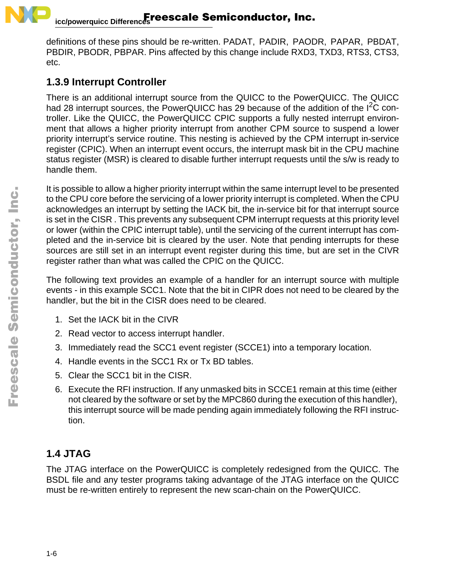

### **quicc/powerquicc Differences**  Freescale Semiconductor, Inc.

definitions of these pins should be re-written. PADAT, PADIR, PAODR, PAPAR, PBDAT, PBDIR, PBODR, PBPAR. Pins affected by this change include RXD3, TXD3, RTS3, CTS3, etc.

## **1.3.9 Interrupt Controller**

There is an additional interrupt source from the QUICC to the PowerQUICC. The QUICC had 28 interrupt sources, the PowerQUICC has 29 because of the addition of the  $I<sup>2</sup>C$  controller. Like the QUICC, the PowerQUICC CPIC supports a fully nested interrupt environment that allows a higher priority interrupt from another CPM source to suspend a lower priority interrupt's service routine. This nesting is achieved by the CPM interrupt in-service register (CPIC). When an interrupt event occurs, the interrupt mask bit in the CPU machine status register (MSR) is cleared to disable further interrupt requests until the s/w is ready to handle them.

It is possible to allow a higher priority interrupt within the same interrupt level to be presented to the CPU core before the servicing of a lower priority interrupt is completed. When the CPU acknowledges an interrupt by setting the IACK bit, the in-service bit for that interrupt source is set in the CISR . This prevents any subsequent CPM interrupt requests at this priority level or lower (within the CPIC interrupt table), until the servicing of the current interrupt has completed and the in-service bit is cleared by the user. Note that pending interrupts for these sources are still set in an interrupt event register during this time, but are set in the CIVR register rather than what was called the CPIC on the QUICC.

The following text provides an example of a handler for an interrupt source with multiple events - in this example SCC1. Note that the bit in CIPR does not need to be cleared by the handler, but the bit in the CISR does need to be cleared.

- 1. Set the IACK bit in the CIVR
- 2. Read vector to access interrupt handler.
- 3. Immediately read the SCC1 event register (SCCE1) into a temporary location.
- 4. Handle events in the SCC1 Rx or Tx BD tables.
- 5. Clear the SCC1 bit in the CISR.
- 6. Execute the RFI instruction. If any unmasked bits in SCCE1 remain at this time (either not cleared by the software or set by the MPC860 during the execution of this handler), this interrupt source will be made pending again immediately following the RFI instruction.

## **1.4 JTAG**

The JTAG interface on the PowerQUICC is completely redesigned from the QUICC. The BSDL file and any tester programs taking advantage of the JTAG interface on the QUICC must be re-written entirely to represent the new scan-chain on the PowerQUICC.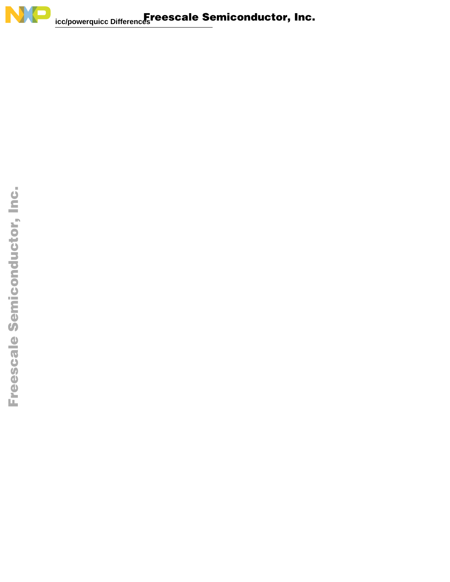

**quicc/powerquicc Differences**  Freescale Semiconductor, Inc.